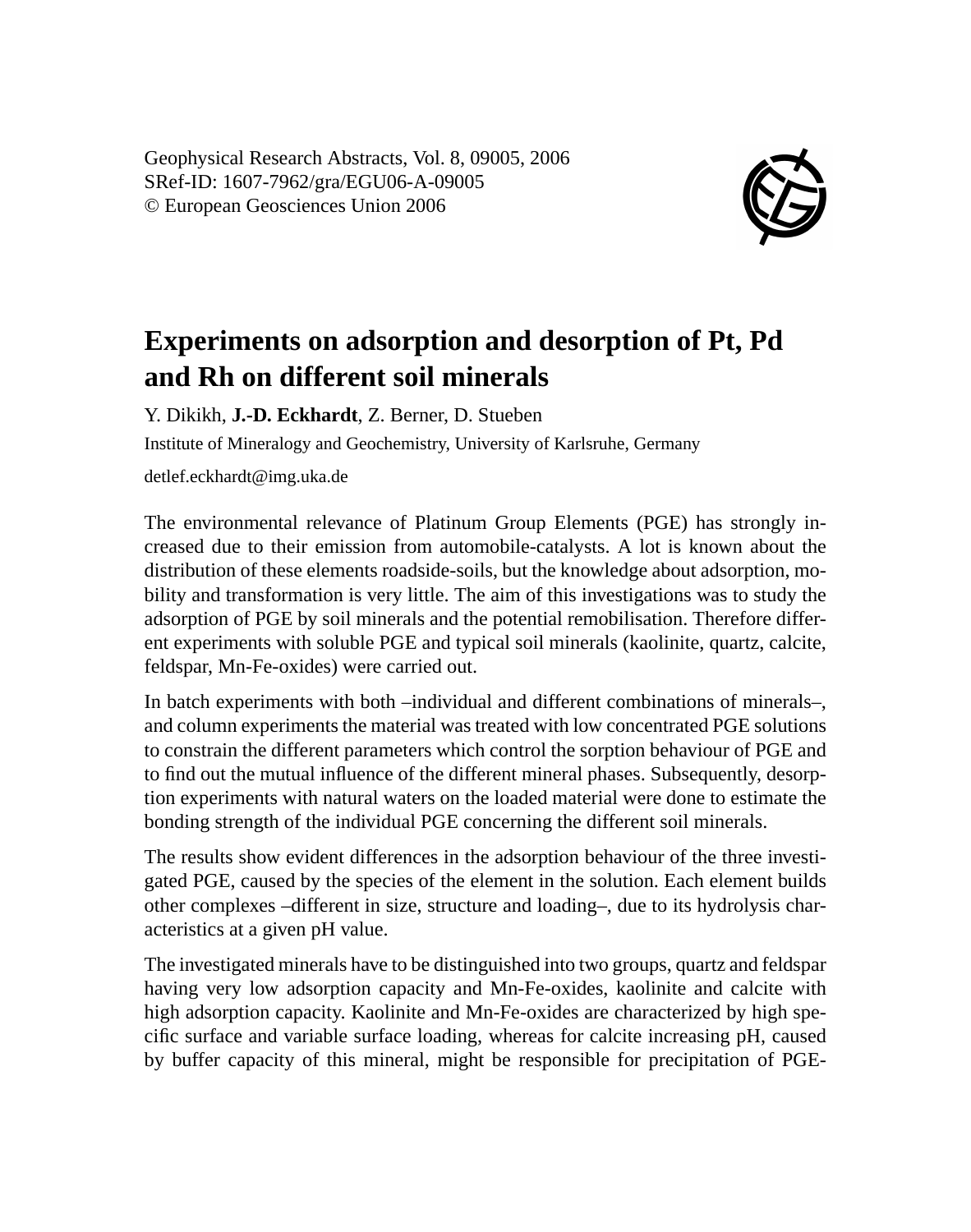Geophysical Research Abstracts, Vol. 8, 09005, 2006 SRef-ID: 1607-7962/gra/EGU06-A-09005 © European Geosciences Union 2006



## **Experiments on adsorption and desorption of Pt, Pd and Rh on different soil minerals**

Y. Dikikh, **J.-D. Eckhardt**, Z. Berner, D. Stueben

Institute of Mineralogy and Geochemistry, University of Karlsruhe, Germany

detlef.eckhardt@img.uka.de

The environmental relevance of Platinum Group Elements (PGE) has strongly increased due to their emission from automobile-catalysts. A lot is known about the distribution of these elements roadside-soils, but the knowledge about adsorption, mobility and transformation is very little. The aim of this investigations was to study the adsorption of PGE by soil minerals and the potential remobilisation. Therefore different experiments with soluble PGE and typical soil minerals (kaolinite, quartz, calcite, feldspar, Mn-Fe-oxides) were carried out.

In batch experiments with both –individual and different combinations of minerals–, and column experiments the material was treated with low concentrated PGE solutions to constrain the different parameters which control the sorption behaviour of PGE and to find out the mutual influence of the different mineral phases. Subsequently, desorption experiments with natural waters on the loaded material were done to estimate the bonding strength of the individual PGE concerning the different soil minerals.

The results show evident differences in the adsorption behaviour of the three investigated PGE, caused by the species of the element in the solution. Each element builds other complexes –different in size, structure and loading–, due to its hydrolysis characteristics at a given pH value.

The investigated minerals have to be distinguished into two groups, quartz and feldspar having very low adsorption capacity and Mn-Fe-oxides, kaolinite and calcite with high adsorption capacity. Kaolinite and Mn-Fe-oxides are characterized by high specific surface and variable surface loading, whereas for calcite increasing pH, caused by buffer capacity of this mineral, might be responsible for precipitation of PGE-